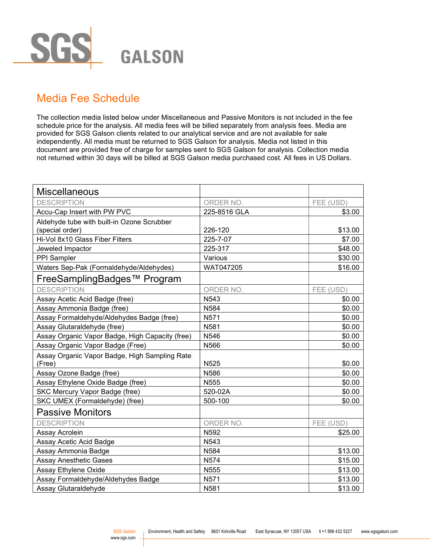

## Media Fee Schedule

The collection media listed below under Miscellaneous and Passive Monitors is not included in the fee schedule price for the analysis. All media fees will be billed separately from analysis fees. Media are provided for SGS Galson clients related to our analytical service and are not available for sale independently. All media must be returned to SGS Galson for analysis. Media not listed in this document are provided free of charge for samples sent to SGS Galson for analysis. Collection media not returned within 30 days will be billed at SGS Galson media purchased cost. All fees in US Dollars.

| Miscellaneous                                           |                  |           |
|---------------------------------------------------------|------------------|-----------|
| <b>DESCRIPTION</b>                                      | ORDER NO.        | FEE (USD) |
| Accu-Cap Insert with PW PVC                             | 225-8516 GLA     | \$3.00    |
| Aldehyde tube with built-in Ozone Scrubber              |                  |           |
| (special order)                                         | 226-120          | \$13.00   |
| Hi-Vol 8x10 Glass Fiber Filters                         | 225-7-07         | \$7.00    |
| Jeweled Impactor                                        | 225-317          | \$48.00   |
| PPI Sampler                                             | Various          | \$30.00   |
| Waters Sep-Pak (Formaldehyde/Aldehydes)                 | WAT047205        | \$16.00   |
| FreeSamplingBadges™ Program                             |                  |           |
| <b>DESCRIPTION</b>                                      | ORDER NO.        | FEE (USD) |
| Assay Acetic Acid Badge (free)                          | N <sub>543</sub> | \$0.00    |
| Assay Ammonia Badge (free)                              | N584             | \$0.00    |
| Assay Formaldehyde/Aldehydes Badge (free)               | N571             | \$0.00    |
| Assay Glutaraldehyde (free)                             | N581             | \$0.00    |
| Assay Organic Vapor Badge, High Capacity (free)         | N546             | \$0.00    |
| Assay Organic Vapor Badge (Free)                        | N566             | \$0.00    |
| Assay Organic Vapor Badge, High Sampling Rate<br>(Free) | N525             | \$0.00    |
| Assay Ozone Badge (free)                                | N586             | \$0.00    |
| Assay Ethylene Oxide Badge (free)                       | N555             | \$0.00    |
| SKC Mercury Vapor Badge (free)                          | 520-02A          | \$0.00    |
| SKC UMEX (Formaldehyde) (free)                          | 500-100          | \$0.00    |
| <b>Passive Monitors</b>                                 |                  |           |
| <b>DESCRIPTION</b>                                      | ORDER NO.        | FEE (USD) |
| Assay Acrolein                                          | N592             | \$25.00   |
| Assay Acetic Acid Badge                                 | N543             |           |
| Assay Ammonia Badge                                     | N584             | \$13.00   |
| <b>Assay Anesthetic Gases</b>                           | <b>N574</b>      | \$15.00   |
| Assay Ethylene Oxide                                    | N <sub>555</sub> | \$13.00   |
| Assay Formaldehyde/Aldehydes Badge                      | N571             | \$13.00   |
| Assay Glutaraldehyde                                    | N581             | \$13.00   |